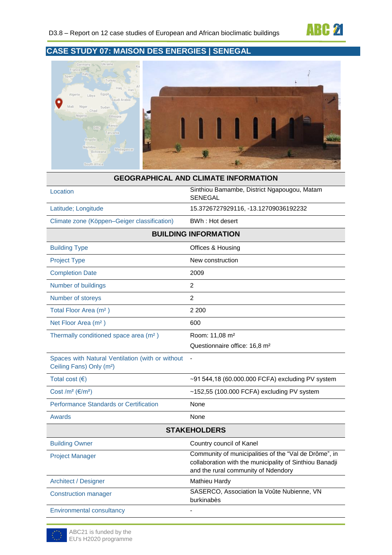

# **CASE STUDY 07: MAISON DES ENERGIES | SENEGAL**



|                                                                                          | <b>GEOGRAPHICAL AND CLIMATE INFORMATION</b>                                                                                                             |
|------------------------------------------------------------------------------------------|---------------------------------------------------------------------------------------------------------------------------------------------------------|
| Location                                                                                 | Sinthiou Bamambe, District Ngapougou, Matam<br>SENEGAL                                                                                                  |
| Latitude; Longitude                                                                      | 15.3726727929116, -13.12709036192232                                                                                                                    |
| Climate zone (Köppen-Geiger classification)                                              | BWh: Hot desert                                                                                                                                         |
|                                                                                          | <b>BUILDING INFORMATION</b>                                                                                                                             |
| <b>Building Type</b>                                                                     | Offices & Housing                                                                                                                                       |
| <b>Project Type</b>                                                                      | New construction                                                                                                                                        |
| <b>Completion Date</b>                                                                   | 2009                                                                                                                                                    |
| Number of buildings                                                                      | 2                                                                                                                                                       |
| Number of storeys                                                                        | $\overline{2}$                                                                                                                                          |
| Total Floor Area (m <sup>2</sup> )                                                       | 2 2 0 0                                                                                                                                                 |
| Net Floor Area (m <sup>2</sup> )                                                         | 600                                                                                                                                                     |
| Thermally conditioned space area (m <sup>2</sup> )                                       | Room: 11,08 m <sup>2</sup><br>Questionnaire office: 16,8 m <sup>2</sup>                                                                                 |
| Spaces with Natural Ventilation (with or without<br>Ceiling Fans) Only (m <sup>2</sup> ) | $\blacksquare$                                                                                                                                          |
| Total cost $(\epsilon)$                                                                  | ~91 544,18 (60.000.000 FCFA) excluding PV system                                                                                                        |
| Cost /m <sup>2</sup> ( $\varepsilon$ /m <sup>2</sup> )                                   | ~152,55 (100.000 FCFA) excluding PV system                                                                                                              |
| Performance Standards or Certification                                                   | None                                                                                                                                                    |
| Awards                                                                                   | None                                                                                                                                                    |
|                                                                                          | <b>STAKEHOLDERS</b>                                                                                                                                     |
| <b>Building Owner</b>                                                                    | Country council of Kanel                                                                                                                                |
| <b>Project Manager</b>                                                                   | Community of municipalities of the "Val de Drôme", in<br>collaboration with the municipality of Sinthiou Banadji<br>and the rural community of Ndendory |
| <b>Architect / Designer</b>                                                              | Mathieu Hardy                                                                                                                                           |
| <b>Construction manager</b>                                                              | SASERCO, Association la Voûte Nubienne, VN<br>burkinabès                                                                                                |
| <b>Environmental consultancy</b>                                                         |                                                                                                                                                         |

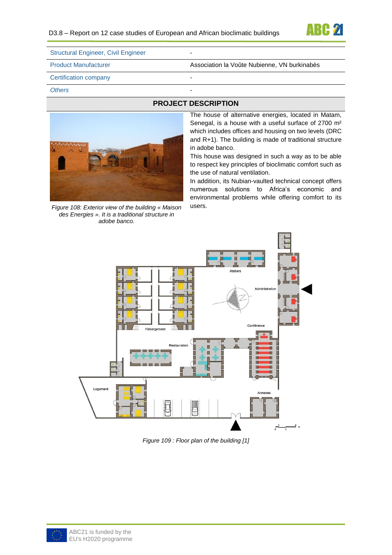

| <b>Structural Engineer, Civil Engineer</b> | -                                            |
|--------------------------------------------|----------------------------------------------|
| <b>Product Manufacturer</b>                | Association la Voûte Nubienne, VN burkinabès |
| Certification company                      | -                                            |
| <b>Others</b>                              | -                                            |

*Figure 108: Exterior view of the building « Maison des Energies ». It is a traditional structure in adobe banco.*

### **PROJECT DESCRIPTION**

The house of alternative energies, located in Matam, Senegal, is a house with a useful surface of 2700 m² which includes offices and housing on two levels (DRC and R+1). The building is made of traditional structure in adobe banco.

This house was designed in such a way as to be able to respect key principles of bioclimatic comfort such as the use of natural ventilation.

In addition, its Nubian-vaulted technical concept offers numerous solutions to Africa's economic and environmental problems while offering comfort to its users.



*Figure 109 : Floor plan of the building [1]*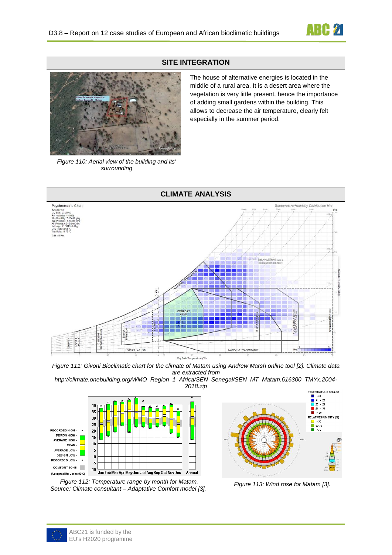

#### **SITE INTEGRATION**



*Figure 110: Aerial view of the building and its' surrounding*

The house of alternative energies is located in the middle of a rural area. It is a desert area where the vegetation is very little present, hence the importance of adding small gardens within the building. This allows to decrease the air temperature, clearly felt especially in the summer period.



*Figure 111: Givoni Bioclimatic chart for the climate of Matam using Andrew Marsh online tool [2]. Climate data are extracted from*

*http://climate.onebuilding.org/WMO\_Region\_1\_Africa/SEN\_Senegal/SEN\_MT\_Matam.616300\_TMYx.2004- 2018.zip*







*Figure 113: Wind rose for Matam [3].*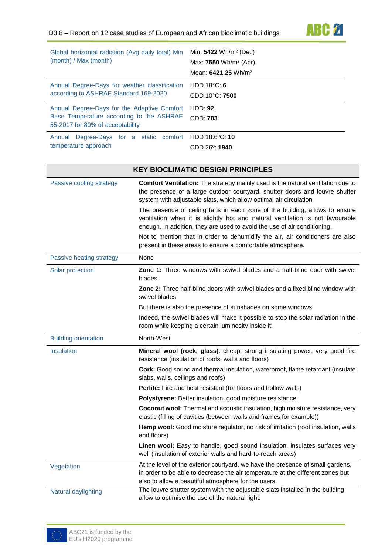

| Global horizontal radiation (Avg daily total) Min<br>(month) / Max (month)                                                  |               | Min: 5422 Wh/m <sup>2</sup> (Dec)<br>Max: 7550 Wh/m <sup>2</sup> (Apr)<br>Mean: 6421,25 Wh/m <sup>2</sup>                                                                                                                                   |
|-----------------------------------------------------------------------------------------------------------------------------|---------------|---------------------------------------------------------------------------------------------------------------------------------------------------------------------------------------------------------------------------------------------|
| Annual Degree-Days for weather classification<br>according to ASHRAE Standard 169-2020                                      |               | HDD $18^{\circ}$ C: 6<br>CDD 10°C: 7500                                                                                                                                                                                                     |
| Annual Degree-Days for the Adaptive Comfort<br>Base Temperature according to the ASHRAE<br>55-2017 for 80% of acceptability |               | <b>HDD: 92</b><br><b>CDD: 783</b>                                                                                                                                                                                                           |
| Annual Degree-Days for a static comfort<br>temperature approach                                                             |               | HDD 18.6°C: 10<br>CDD 26 <sup>o</sup> : 1940                                                                                                                                                                                                |
|                                                                                                                             |               | <b>KEY BIOCLIMATIC DESIGN PRINCIPLES</b>                                                                                                                                                                                                    |
| Passive cooling strategy                                                                                                    |               | <b>Comfort Ventilation:</b> The strategy mainly used is the natural ventilation due to<br>the presence of a large outdoor courtyard, shutter doors and louvre shutter<br>system with adjustable slats, which allow optimal air circulation. |
|                                                                                                                             |               | The presence of ceiling fans in each zone of the building, allows to ensure<br>ventilation when it is slightly hot and natural ventilation is not favourable<br>enough. In addition, they are used to avoid the use of air conditioning.    |
|                                                                                                                             |               | Not to mention that in order to dehumidify the air, air conditioners are also<br>present in these areas to ensure a comfortable atmosphere.                                                                                                 |
| Passive heating strategy                                                                                                    | None          |                                                                                                                                                                                                                                             |
| Solar protection<br>blades                                                                                                  |               | <b>Zone 1:</b> Three windows with swivel blades and a half-blind door with swivel                                                                                                                                                           |
|                                                                                                                             | swivel blades | <b>Zone 2:</b> Three half-blind doors with swivel blades and a fixed blind window with                                                                                                                                                      |
|                                                                                                                             |               |                                                                                                                                                                                                                                             |

But there is also the presence of sunshades on some windows.

Indeed, the swivel blades will make it possible to stop the solar radiation in the room while keeping a certain luminosity inside it.

| <b>Building orientation</b> | North-West                                                                                                                                                                                                              |
|-----------------------------|-------------------------------------------------------------------------------------------------------------------------------------------------------------------------------------------------------------------------|
| Insulation                  | <b>Mineral wool (rock, glass)</b> : cheap, strong insulating power, very good fire<br>resistance (insulation of roofs, walls and floors)                                                                                |
|                             | <b>Cork:</b> Good sound and thermal insulation, waterproof, flame retardant (insulate<br>slabs, walls, ceilings and roofs)                                                                                              |
|                             | <b>Perlite:</b> Fire and heat resistant (for floors and hollow walls)                                                                                                                                                   |
|                             | <b>Polystyrene:</b> Better insulation, good moisture resistance                                                                                                                                                         |
|                             | <b>Coconut wool:</b> Thermal and acoustic insulation, high moisture resistance, very<br>elastic (filling of cavities (between walls and frames for example))                                                            |
|                             | <b>Hemp wool:</b> Good moisture regulator, no risk of irritation (roof insulation, walls<br>and floors)                                                                                                                 |
|                             | <b>Linen wool:</b> Easy to handle, good sound insulation, insulates surfaces very<br>well (insulation of exterior walls and hard-to-reach areas)                                                                        |
| Vegetation                  | At the level of the exterior courtyard, we have the presence of small gardens,<br>in order to be able to decrease the air temperature at the different zones but<br>also to allow a beautiful atmosphere for the users. |
| Natural daylighting         | The louvre shutter system with the adjustable slats installed in the building                                                                                                                                           |

allow to optimise the use of the natural light.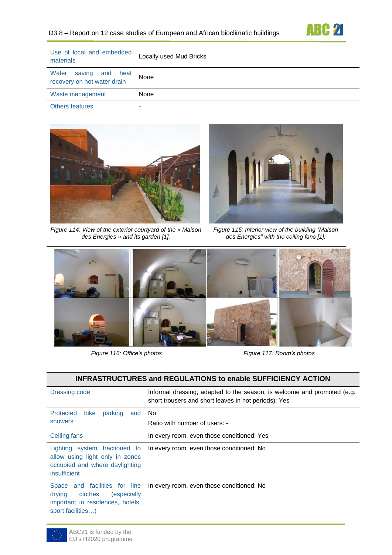

| Use of local and embedded<br>materials                  | Locally used Mud Bricks |
|---------------------------------------------------------|-------------------------|
| Water<br>saving and heat<br>recovery on hot water drain | None                    |
| Waste management                                        | None                    |
|                                                         |                         |

**Others features** 





*Figure 114: View of the exterior courtyard of the « Maison des Energies » and its garden [1].*

*Figure 115: Interior view of the building "Maison des Energies" with the ceiling fans [1].*



*Figure 116: Office's photos Figure 117: Room's photos*

#### **INFRASTRUCTURES and REGULATIONS to enable SUFFICIENCY ACTION**

| Dressing code                                                                                                                      | Informal dressing, adapted to the season, is welcome and promoted (e.g.<br>short trousers and short leaves in hot periods): Yes |
|------------------------------------------------------------------------------------------------------------------------------------|---------------------------------------------------------------------------------------------------------------------------------|
| Protected<br><b>bike</b><br>parking<br>and                                                                                         | No.                                                                                                                             |
| showers                                                                                                                            | Ratio with number of users: -                                                                                                   |
| Ceiling fans                                                                                                                       | In every room, even those conditioned: Yes                                                                                      |
| Lighting system fractioned to<br>allow using light only in zones<br>occupied and where daylighting<br>insufficient                 | In every room, even those conditioned: No                                                                                       |
| Space and facilities for line<br>drying<br>clothes<br><i>(especially)</i><br>important in residences, hotels,<br>sport facilities) | In every room, even those conditioned: No                                                                                       |

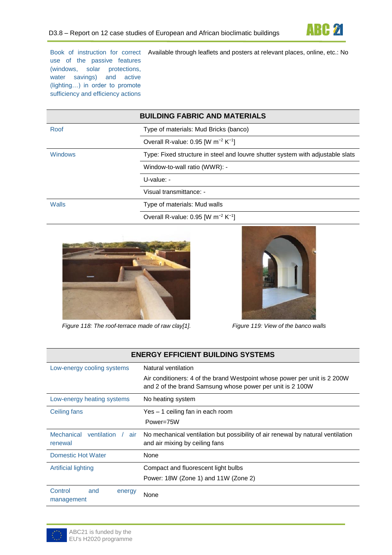

use of the passive features (windows, solar protections, water savings) and active (lighting…) in order to promote sufficiency and efficiency actions

Book of instruction for correct Available through leaflets and posters at relevant places, online, etc.: No

|                | <b>BUILDING FABRIC AND MATERIALS</b>                                           |
|----------------|--------------------------------------------------------------------------------|
| Roof           | Type of materials: Mud Bricks (banco)                                          |
|                | Overall R-value: 0.95 [W $m^{-2}$ K <sup>-1</sup> ]                            |
| <b>Windows</b> | Type: Fixed structure in steel and louvre shutter system with adjustable slats |
|                | Window-to-wall ratio (WWR): -                                                  |
|                | $U$ -value: -                                                                  |
|                | Visual transmittance: -                                                        |
| Walls          | Type of materials: Mud walls                                                   |
|                | Overall R-value: 0.95 [W $m^{-2}$ K <sup>-1</sup> ]                            |



*Figure 118: The roof-terrace made of raw clay[1]. Figure 119: View of the banco walls*



| <b>ENERGY EFFICIENT BUILDING SYSTEMS</b>           |                                                                                                                                        |  |
|----------------------------------------------------|----------------------------------------------------------------------------------------------------------------------------------------|--|
| Low-energy cooling systems                         | Natural ventilation                                                                                                                    |  |
|                                                    | Air conditioners: 4 of the brand Westpoint whose power per unit is 2 200W<br>and 2 of the brand Samsung whose power per unit is 2 100W |  |
| Low-energy heating systems                         | No heating system                                                                                                                      |  |
| Ceiling fans                                       | Yes - 1 ceiling fan in each room                                                                                                       |  |
|                                                    | Power=75W                                                                                                                              |  |
| <b>Mechanical</b><br>ventilation<br>air<br>renewal | No mechanical ventilation but possibility of air renewal by natural ventilation<br>and air mixing by ceiling fans                      |  |
| <b>Domestic Hot Water</b>                          | None                                                                                                                                   |  |
| Artificial lighting                                | Compact and fluorescent light bulbs                                                                                                    |  |
|                                                    | Power: 18W (Zone 1) and 11W (Zone 2)                                                                                                   |  |
| Control<br>and<br>energy<br>management             | None                                                                                                                                   |  |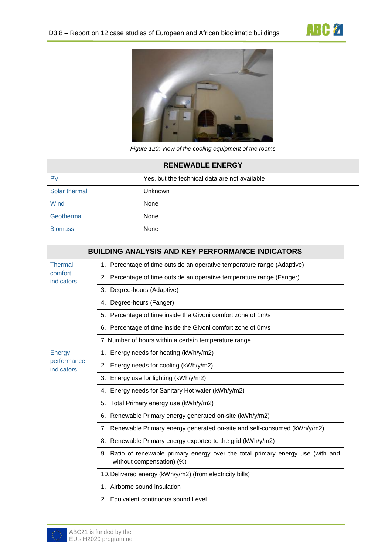



*Figure 120: View of the cooling equipment of the rooms*

| <b>RENEWABLE ENERGY</b> |                                               |  |
|-------------------------|-----------------------------------------------|--|
| PV                      | Yes, but the technical data are not available |  |
| Solar thermal           | <b>Unknown</b>                                |  |
| Wind                    | None                                          |  |
| Geothermal              | None                                          |  |
| <b>Biomass</b>          | None                                          |  |

|                           | <b>BUILDING ANALYSIS AND KEY PERFORMANCE INDICATORS</b>                                                       |
|---------------------------|---------------------------------------------------------------------------------------------------------------|
| <b>Thermal</b>            | 1. Percentage of time outside an operative temperature range (Adaptive)                                       |
| comfort<br>indicators     | 2. Percentage of time outside an operative temperature range (Fanger)                                         |
|                           | 3. Degree-hours (Adaptive)                                                                                    |
|                           | 4. Degree-hours (Fanger)                                                                                      |
|                           | 5. Percentage of time inside the Givoni comfort zone of 1m/s                                                  |
|                           | 6. Percentage of time inside the Givoni comfort zone of 0m/s                                                  |
|                           | 7. Number of hours within a certain temperature range                                                         |
| Energy                    | 1. Energy needs for heating (kWh/y/m2)                                                                        |
| performance<br>indicators | 2. Energy needs for cooling (kWh/y/m2)                                                                        |
|                           | 3. Energy use for lighting (kWh/y/m2)                                                                         |
|                           | 4. Energy needs for Sanitary Hot water (kWh/y/m2)                                                             |
|                           | 5. Total Primary energy use (kWh/y/m2)                                                                        |
|                           | 6. Renewable Primary energy generated on-site (kWh/y/m2)                                                      |
|                           | 7. Renewable Primary energy generated on-site and self-consumed (kWh/y/m2)                                    |
|                           | 8. Renewable Primary energy exported to the grid (kWh/y/m2)                                                   |
|                           | 9. Ratio of renewable primary energy over the total primary energy use (with and<br>without compensation) (%) |
|                           | 10. Delivered energy (kWh/y/m2) (from electricity bills)                                                      |
|                           | 1. Airborne sound insulation                                                                                  |
|                           | 2. Equivalent continuous sound Level                                                                          |